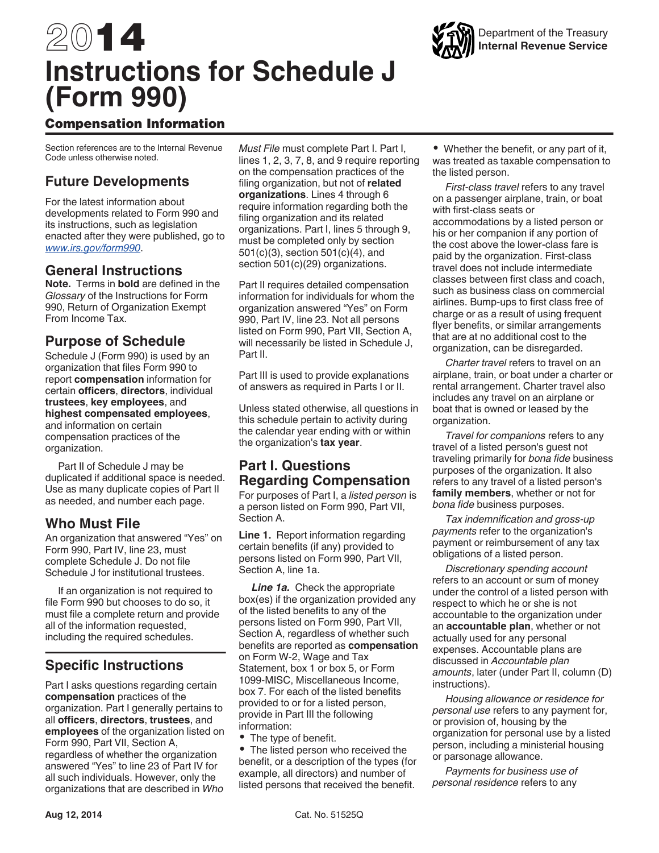# 2014 **Instructions for Schedule J (Form 990)**

## Compensation Information

Section references are to the Internal Revenue Code unless otherwise noted.

# **Future Developments**

For the latest information about developments related to Form 990 and its instructions, such as legislation enacted after they were published, go to *[www.irs.gov/form990](http://www.irs.gov/form990)*.

#### **General Instructions**

**Note.** Terms in **bold** are defined in the *Glossary* of the Instructions for Form 990, Return of Organization Exempt From Income Tax.

#### **Purpose of Schedule**

Schedule J (Form 990) is used by an organization that files Form 990 to report **compensation** information for certain **officers**, **directors**, individual **trustees**, **key employees**, and **highest compensated employees**, and information on certain compensation practices of the organization.

Part II of Schedule J may be duplicated if additional space is needed. Use as many duplicate copies of Part II as needed, and number each page.

## **Who Must File**

An organization that answered "Yes" on Form 990, Part IV, line 23, must complete Schedule J. Do not file Schedule J for institutional trustees.

If an organization is not required to file Form 990 but chooses to do so, it must file a complete return and provide all of the information requested, including the required schedules.

# **Specific Instructions**

Part I asks questions regarding certain **compensation** practices of the organization. Part I generally pertains to all **officers**, **directors**, **trustees**, and **employees** of the organization listed on Form 990, Part VII, Section A, regardless of whether the organization answered "Yes" to line 23 of Part IV for all such individuals. However, only the organizations that are described in *Who* 

*Must File* must complete Part I. Part I, lines 1, 2, 3, 7, 8, and 9 require reporting on the compensation practices of the filing organization, but not of **related organizations**. Lines 4 through 6 require information regarding both the filing organization and its related organizations. Part I, lines 5 through 9, must be completed only by section 501(c)(3), section 501(c)(4), and section 501(c)(29) organizations.

Part II requires detailed compensation information for individuals for whom the organization answered "Yes" on Form 990, Part IV, line 23. Not all persons listed on Form 990, Part VII, Section A, will necessarily be listed in Schedule J, Part II.

Part III is used to provide explanations of answers as required in Parts I or II.

Unless stated otherwise, all questions in this schedule pertain to activity during the calendar year ending with or within the organization's **tax year**.

## **Part I. Questions Regarding Compensation**

For purposes of Part I, a *listed person* is a person listed on Form 990, Part VII, Section A.

**Line 1.** Report information regarding certain benefits (if any) provided to persons listed on Form 990, Part VII, Section A, line 1a.

*Line 1a.* Check the appropriate box(es) if the organization provided any of the listed benefits to any of the persons listed on Form 990, Part VII, Section A, regardless of whether such benefits are reported as **compensation**  on Form W-2, Wage and Tax Statement, box 1 or box 5, or Form 1099-MISC, Miscellaneous Income, box 7. For each of the listed benefits provided to or for a listed person, provide in Part III the following information:

• The type of benefit.

• The listed person who received the benefit, or a description of the types (for example, all directors) and number of listed persons that received the benefit.

Whether the benefit, or any part of it, was treated as taxable compensation to the listed person.

*First-class travel* refers to any travel on a passenger airplane, train, or boat with first-class seats or accommodations by a listed person or his or her companion if any portion of the cost above the lower-class fare is paid by the organization. First-class travel does not include intermediate classes between first class and coach, such as business class on commercial airlines. Bump-ups to first class free of charge or as a result of using frequent flyer benefits, or similar arrangements that are at no additional cost to the organization, can be disregarded.

*Charter travel* refers to travel on an airplane, train, or boat under a charter or rental arrangement. Charter travel also includes any travel on an airplane or boat that is owned or leased by the organization.

*Travel for companions* refers to any travel of a listed person's guest not traveling primarily for *bona fide* business purposes of the organization. It also refers to any travel of a listed person's **family members**, whether or not for *bona fide* business purposes.

*Tax indemnification and gross-up payments* refer to the organization's payment or reimbursement of any tax obligations of a listed person.

*Discretionary spending account*  refers to an account or sum of money under the control of a listed person with respect to which he or she is not accountable to the organization under an **accountable plan**, whether or not actually used for any personal expenses. Accountable plans are discussed in *Accountable plan amounts*, later (under Part II, column (D) instructions).

*Housing allowance or residence for personal use* refers to any payment for, or provision of, housing by the organization for personal use by a listed person, including a ministerial housing or parsonage allowance.

*Payments for business use of personal residence* refers to any

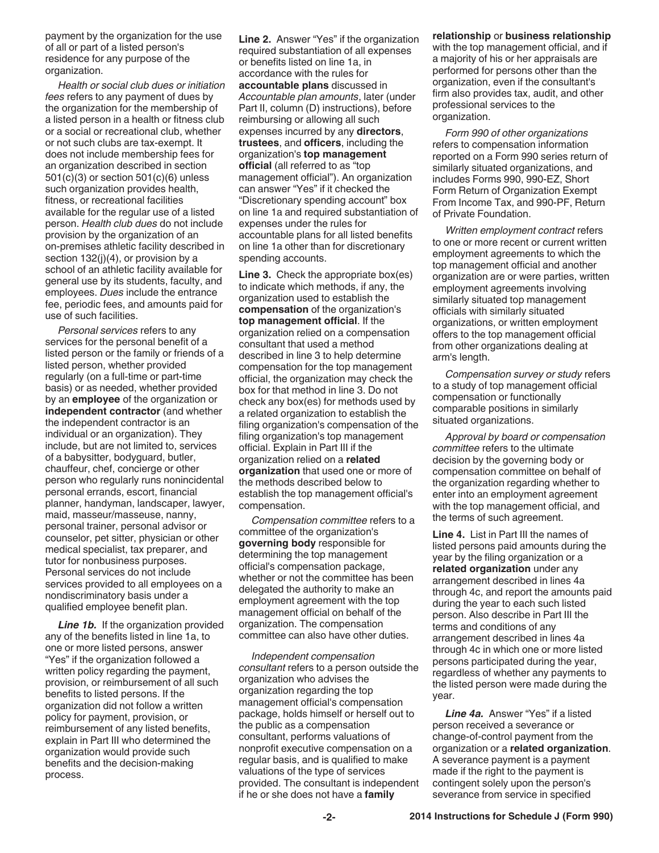payment by the organization for the use of all or part of a listed person's residence for any purpose of the organization.

*Health or social club dues or initiation fees* refers to any payment of dues by the organization for the membership of a listed person in a health or fitness club or a social or recreational club, whether or not such clubs are tax-exempt. It does not include membership fees for an organization described in section 501(c)(3) or section 501(c)(6) unless such organization provides health, fitness, or recreational facilities available for the regular use of a listed person. *Health club dues* do not include provision by the organization of an on-premises athletic facility described in section 132(j)(4), or provision by a school of an athletic facility available for general use by its students, faculty, and employees. *Dues* include the entrance fee, periodic fees, and amounts paid for use of such facilities.

*Personal services* refers to any services for the personal benefit of a listed person or the family or friends of a listed person, whether provided regularly (on a full-time or part-time basis) or as needed, whether provided by an **employee** of the organization or **independent contractor** (and whether the independent contractor is an individual or an organization). They include, but are not limited to, services of a babysitter, bodyguard, butler, chauffeur, chef, concierge or other person who regularly runs nonincidental personal errands, escort, financial planner, handyman, landscaper, lawyer, maid, masseur/masseuse, nanny, personal trainer, personal advisor or counselor, pet sitter, physician or other medical specialist, tax preparer, and tutor for nonbusiness purposes. Personal services do not include services provided to all employees on a nondiscriminatory basis under a qualified employee benefit plan.

**Line 1b.** If the organization provided any of the benefits listed in line 1a, to one or more listed persons, answer "Yes" if the organization followed a written policy regarding the payment, provision, or reimbursement of all such benefits to listed persons. If the organization did not follow a written policy for payment, provision, or reimbursement of any listed benefits, explain in Part III who determined the organization would provide such benefits and the decision-making process.

**Line 2.** Answer "Yes" if the organization required substantiation of all expenses or benefits listed on line 1a, in accordance with the rules for **accountable plans** discussed in *Accountable plan amounts*, later (under Part II, column (D) instructions), before reimbursing or allowing all such expenses incurred by any **directors**, **trustees**, and **officers**, including the organization's **top management official** (all referred to as "top management official"). An organization can answer "Yes" if it checked the "Discretionary spending account" box on line 1a and required substantiation of expenses under the rules for accountable plans for all listed benefits on line 1a other than for discretionary spending accounts.

**Line 3.** Check the appropriate box(es) to indicate which methods, if any, the organization used to establish the **compensation** of the organization's **top management official**. If the organization relied on a compensation consultant that used a method described in line 3 to help determine compensation for the top management official, the organization may check the box for that method in line 3. Do not check any box(es) for methods used by a related organization to establish the filing organization's compensation of the filing organization's top management official. Explain in Part III if the organization relied on a **related organization** that used one or more of the methods described below to establish the top management official's compensation.

*Compensation committee* refers to a committee of the organization's **governing body** responsible for determining the top management official's compensation package, whether or not the committee has been delegated the authority to make an employment agreement with the top management official on behalf of the organization. The compensation committee can also have other duties.

*Independent compensation consultant* refers to a person outside the organization who advises the organization regarding the top management official's compensation package, holds himself or herself out to the public as a compensation consultant, performs valuations of nonprofit executive compensation on a regular basis, and is qualified to make valuations of the type of services provided. The consultant is independent if he or she does not have a **family** 

**relationship** or **business relationship** 

with the top management official, and if a majority of his or her appraisals are performed for persons other than the organization, even if the consultant's firm also provides tax, audit, and other professional services to the organization.

*Form 990 of other organizations*  refers to compensation information reported on a Form 990 series return of similarly situated organizations, and includes Forms 990, 990-EZ, Short Form Return of Organization Exempt From Income Tax, and 990-PF, Return of Private Foundation.

*Written employment contract* refers to one or more recent or current written employment agreements to which the top management official and another organization are or were parties, written employment agreements involving similarly situated top management officials with similarly situated organizations, or written employment offers to the top management official from other organizations dealing at arm's length.

*Compensation survey or study* refers to a study of top management official compensation or functionally comparable positions in similarly situated organizations.

*Approval by board or compensation committee* refers to the ultimate decision by the governing body or compensation committee on behalf of the organization regarding whether to enter into an employment agreement with the top management official, and the terms of such agreement.

**Line 4.** List in Part III the names of listed persons paid amounts during the year by the filing organization or a **related organization** under any arrangement described in lines 4a through 4c, and report the amounts paid during the year to each such listed person. Also describe in Part III the terms and conditions of any arrangement described in lines 4a through 4c in which one or more listed persons participated during the year, regardless of whether any payments to the listed person were made during the year.

*Line 4a.* Answer "Yes" if a listed person received a severance or change-of-control payment from the organization or a **related organization**. A severance payment is a payment made if the right to the payment is contingent solely upon the person's severance from service in specified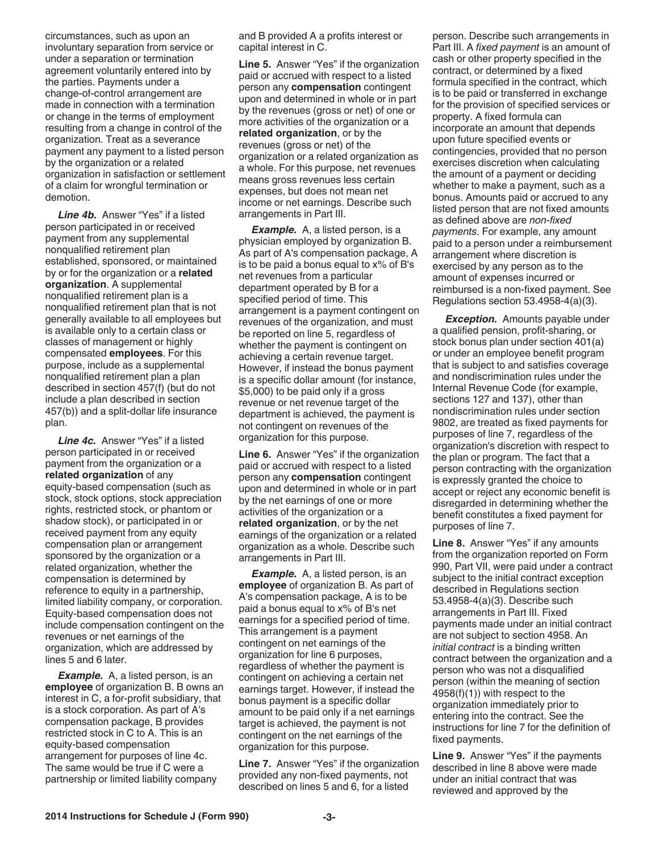circumstances, such as upon an involuntary separation from service or under a separation or termination agreement voluntarily entered into by the parties. Payments under a change-of-control arrangement are made in connection with a termination or change in the terms of employment resulting from a change in control of the organization. Treat as a severance payment any payment to a listed person by the organization or a related organization in satisfaction or settlement of a claim for wrongful termination or demotion.

*Line 4b.* Answer "Yes" if a listed person participated in or received payment from any supplemental nonqualified retirement plan established, sponsored, or maintained by or for the organization or a **related organization**. A supplemental nonqualified retirement plan is a nonqualified retirement plan that is not generally available to all employees but is available only to a certain class or classes of management or highly compensated **employees**. For this purpose, include as a supplemental nonqualified retirement plan a plan described in section 457(f) (but do not include a plan described in section 457(b)) and a split-dollar life insurance plan.

*Line 4c.* Answer "Yes" if a listed person participated in or received payment from the organization or a **related organization** of any equity-based compensation (such as stock, stock options, stock appreciation rights, restricted stock, or phantom or shadow stock), or participated in or received payment from any equity compensation plan or arrangement sponsored by the organization or a related organization, whether the compensation is determined by reference to equity in a partnership, limited liability company, or corporation. Equity-based compensation does not include compensation contingent on the revenues or net earnings of the organization, which are addressed by lines 5 and 6 later.

*Example.* A, a listed person, is an **employee** of organization B. B owns an interest in C, a for-profit subsidiary, that is a stock corporation. As part of A's compensation package, B provides restricted stock in C to A. This is an equity-based compensation arrangement for purposes of line 4c. The same would be true if C were a partnership or limited liability company

and B provided A a profits interest or capital interest in C.

**Line 5.** Answer "Yes" if the organization paid or accrued with respect to a listed person any **compensation** contingent upon and determined in whole or in part by the revenues (gross or net) of one or more activities of the organization or a **related organization**, or by the revenues (gross or net) of the organization or a related organization as a whole. For this purpose, net revenues means gross revenues less certain expenses, but does not mean net income or net earnings. Describe such arrangements in Part III.

*Example.* A, a listed person, is a physician employed by organization B. As part of A's compensation package, A is to be paid a bonus equal to  $x\%$  of B's net revenues from a particular department operated by B for a specified period of time. This arrangement is a payment contingent on revenues of the organization, and must be reported on line 5, regardless of whether the payment is contingent on achieving a certain revenue target. However, if instead the bonus payment is a specific dollar amount (for instance, \$5,000) to be paid only if a gross revenue or net revenue target of the department is achieved, the payment is not contingent on revenues of the organization for this purpose.

**Line 6.** Answer "Yes" if the organization paid or accrued with respect to a listed person any **compensation** contingent upon and determined in whole or in part by the net earnings of one or more activities of the organization or a **related organization**, or by the net earnings of the organization or a related organization as a whole. Describe such arrangements in Part III.

*Example.* A, a listed person, is an **employee** of organization B. As part of A's compensation package, A is to be paid a bonus equal to x% of B's net earnings for a specified period of time. This arrangement is a payment contingent on net earnings of the organization for line 6 purposes, regardless of whether the payment is contingent on achieving a certain net earnings target. However, if instead the bonus payment is a specific dollar amount to be paid only if a net earnings target is achieved, the payment is not contingent on the net earnings of the organization for this purpose.

**Line 7.** Answer "Yes" if the organization provided any non-fixed payments, not described on lines 5 and 6, for a listed

person. Describe such arrangements in Part III. A *fixed payment* is an amount of cash or other property specified in the contract, or determined by a fixed formula specified in the contract, which is to be paid or transferred in exchange for the provision of specified services or property. A fixed formula can incorporate an amount that depends upon future specified events or contingencies, provided that no person exercises discretion when calculating the amount of a payment or deciding whether to make a payment, such as a bonus. Amounts paid or accrued to any listed person that are not fixed amounts as defined above are *non-fixed payments*. For example, any amount paid to a person under a reimbursement arrangement where discretion is exercised by any person as to the amount of expenses incurred or reimbursed is a non-fixed payment. See Regulations section 53.4958-4(a)(3).

**Exception.** Amounts payable under a qualified pension, profit-sharing, or stock bonus plan under section 401(a) or under an employee benefit program that is subject to and satisfies coverage and nondiscrimination rules under the Internal Revenue Code (for example, sections 127 and 137), other than nondiscrimination rules under section 9802, are treated as fixed payments for purposes of line 7, regardless of the organization's discretion with respect to the plan or program. The fact that a person contracting with the organization is expressly granted the choice to accept or reject any economic benefit is disregarded in determining whether the benefit constitutes a fixed payment for purposes of line 7.

**Line 8.** Answer "Yes" if any amounts from the organization reported on Form 990, Part VII, were paid under a contract subject to the initial contract exception described in Regulations section 53.4958-4(a)(3). Describe such arrangements in Part III. Fixed payments made under an initial contract are not subject to section 4958. An *initial contract* is a binding written contract between the organization and a person who was not a disqualified person (within the meaning of section 4958(f)(1)) with respect to the organization immediately prior to entering into the contract. See the instructions for line 7 for the definition of fixed payments.

**Line 9.** Answer "Yes" if the payments described in line 8 above were made under an initial contract that was reviewed and approved by the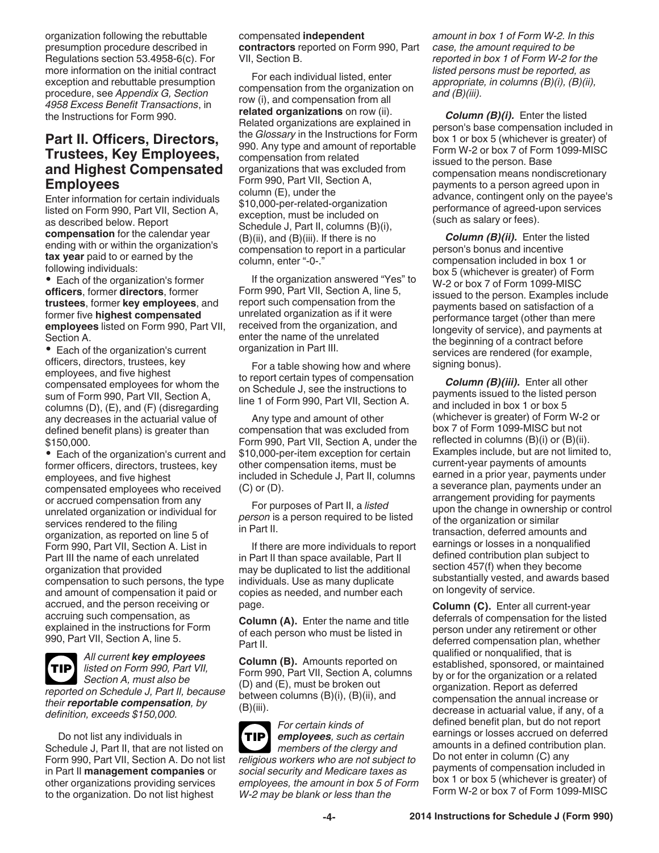organization following the rebuttable presumption procedure described in Regulations section 53.4958-6(c). For more information on the initial contract exception and rebuttable presumption procedure, see *Appendix G, Section 4958 Excess Benefit Transactions*, in the Instructions for Form 990.

#### **Part II. Officers, Directors, Trustees, Key Employees, and Highest Compensated Employees**

Enter information for certain individuals listed on Form 990, Part VII, Section A, as described below. Report **compensation** for the calendar year ending with or within the organization's **tax year** paid to or earned by the following individuals:

• Each of the organization's former **officers**, former **directors**, former **trustees**, former **key employees**, and former five **highest compensated employees** listed on Form 990, Part VII, Section A.

• Each of the organization's current officers, directors, trustees, key employees, and five highest compensated employees for whom the sum of Form 990, Part VII, Section A, columns (D), (E), and (F) (disregarding any decreases in the actuarial value of defined benefit plans) is greater than \$150,000.

Each of the organization's current and former officers, directors, trustees, key employees, and five highest compensated employees who received or accrued compensation from any unrelated organization or individual for services rendered to the filing organization, as reported on line 5 of Form 990, Part VII, Section A. List in Part III the name of each unrelated organization that provided compensation to such persons, the type and amount of compensation it paid or accrued, and the person receiving or accruing such compensation, as explained in the instructions for Form 990, Part VII, Section A, line 5.



*All current key employees* 

*listed on Form 990, Part VII, Section A, must also be reported on Schedule J, Part II, because their reportable compensation, by definition, exceeds \$150,000.*

Do not list any individuals in Schedule J, Part II, that are not listed on Form 990, Part VII, Section A. Do not list in Part II **management companies** or other organizations providing services to the organization. Do not list highest

compensated **independent contractors** reported on Form 990, Part VII, Section B.

For each individual listed, enter compensation from the organization on row (i), and compensation from all **related organizations** on row (ii). Related organizations are explained in the *Glossary* in the Instructions for Form 990. Any type and amount of reportable compensation from related organizations that was excluded from Form 990, Part VII, Section A, column (E), under the \$10,000-per-related-organization exception, must be included on Schedule J, Part II, columns (B)(i), (B)(ii), and (B)(iii). If there is no compensation to report in a particular column, enter "-0-."

If the organization answered "Yes" to Form 990, Part VII, Section A, line 5, report such compensation from the unrelated organization as if it were received from the organization, and enter the name of the unrelated organization in Part III.

For a table showing how and where to report certain types of compensation on Schedule J, see the instructions to line 1 of Form 990, Part VII, Section A.

Any type and amount of other compensation that was excluded from Form 990, Part VII, Section A, under the \$10,000-per-item exception for certain other compensation items, must be included in Schedule J, Part II, columns (C) or (D).

For purposes of Part II, a *listed person* is a person required to be listed in Part II.

If there are more individuals to report in Part II than space available, Part II may be duplicated to list the additional individuals. Use as many duplicate copies as needed, and number each page.

**Column (A).** Enter the name and title of each person who must be listed in Part II.

**Column (B).** Amounts reported on Form 990, Part VII, Section A, columns (D) and (E), must be broken out between columns (B)(i), (B)(ii), and (B)(iii).

*For certain kinds of employees, such as certain members of the clergy and religious workers who are not subject to social security and Medicare taxes as employees, the amount in box 5 of Form W-2 may be blank or less than the*  **TIP**

*amount in box 1 of Form W-2. In this case, the amount required to be reported in box 1 of Form W-2 for the listed persons must be reported, as appropriate, in columns (B)(i), (B)(ii), and (B)(iii).*

*Column (B)(i).* Enter the listed person's base compensation included in box 1 or box 5 (whichever is greater) of Form W-2 or box 7 of Form 1099-MISC issued to the person. Base compensation means nondiscretionary payments to a person agreed upon in advance, contingent only on the payee's performance of agreed-upon services (such as salary or fees).

*Column (B)(ii).* Enter the listed person's bonus and incentive compensation included in box 1 or box 5 (whichever is greater) of Form W-2 or box 7 of Form 1099-MISC issued to the person. Examples include payments based on satisfaction of a performance target (other than mere longevity of service), and payments at the beginning of a contract before services are rendered (for example, signing bonus).

*Column (B)(iii).* Enter all other payments issued to the listed person and included in box 1 or box 5 (whichever is greater) of Form W-2 or box 7 of Form 1099-MISC but not reflected in columns (B)(i) or (B)(ii). Examples include, but are not limited to, current-year payments of amounts earned in a prior year, payments under a severance plan, payments under an arrangement providing for payments upon the change in ownership or control of the organization or similar transaction, deferred amounts and earnings or losses in a nonqualified defined contribution plan subject to section 457(f) when they become substantially vested, and awards based on longevity of service.

**Column (C).** Enter all current-year deferrals of compensation for the listed person under any retirement or other deferred compensation plan, whether qualified or nonqualified, that is established, sponsored, or maintained by or for the organization or a related organization. Report as deferred compensation the annual increase or decrease in actuarial value, if any, of a defined benefit plan, but do not report earnings or losses accrued on deferred amounts in a defined contribution plan. Do not enter in column (C) any payments of compensation included in box 1 or box 5 (whichever is greater) of Form W-2 or box 7 of Form 1099-MISC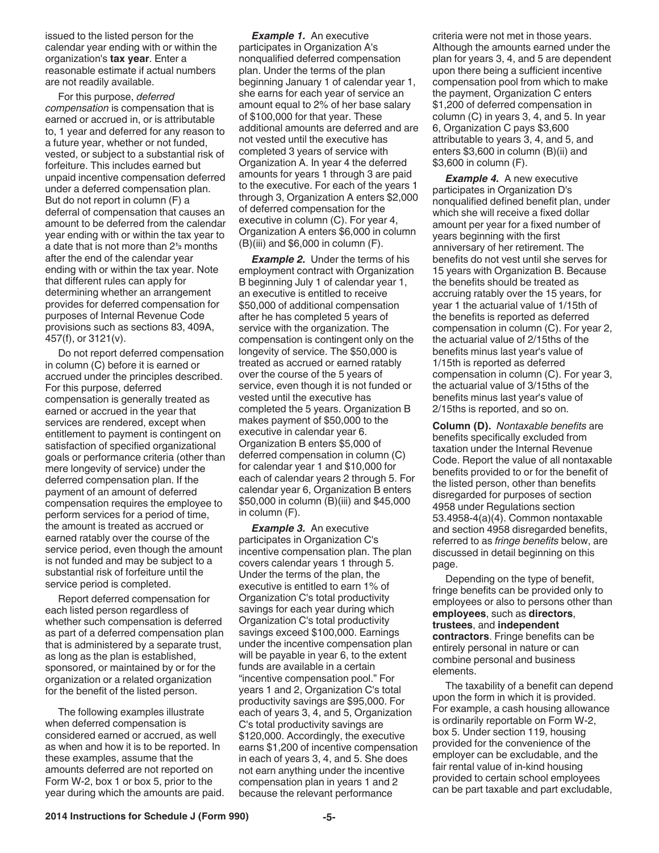issued to the listed person for the calendar year ending with or within the organization's **tax year**. Enter a reasonable estimate if actual numbers are not readily available.

For this purpose, *deferred compensation* is compensation that is earned or accrued in, or is attributable to, 1 year and deferred for any reason to a future year, whether or not funded, vested, or subject to a substantial risk of forfeiture. This includes earned but unpaid incentive compensation deferred under a deferred compensation plan. But do not report in column (F) a deferral of compensation that causes an amount to be deferred from the calendar year ending with or within the tax year to a date that is not more than 2<sup>1</sup><sub>k</sub> months (B)(III) and \$6,000 in column (F). The anniversary of her retirement. The a date that is not more than  $2^{\frac{1}{2}}$  months after the end of the calendar year ending with or within the tax year. Note that different rules can apply for determining whether an arrangement provides for deferred compensation for purposes of Internal Revenue Code provisions such as sections 83, 409A, 457(f), or 3121(v).

Do not report deferred compensation in column (C) before it is earned or accrued under the principles described. For this purpose, deferred compensation is generally treated as earned or accrued in the year that services are rendered, except when entitlement to payment is contingent on satisfaction of specified organizational goals or performance criteria (other than mere longevity of service) under the deferred compensation plan. If the payment of an amount of deferred compensation requires the employee to perform services for a period of time, the amount is treated as accrued or earned ratably over the course of the service period, even though the amount is not funded and may be subject to a substantial risk of forfeiture until the service period is completed.

Report deferred compensation for each listed person regardless of whether such compensation is deferred as part of a deferred compensation plan that is administered by a separate trust, as long as the plan is established, sponsored, or maintained by or for the organization or a related organization for the benefit of the listed person.

The following examples illustrate when deferred compensation is considered earned or accrued, as well as when and how it is to be reported. In these examples, assume that the amounts deferred are not reported on Form W-2, box 1 or box 5, prior to the year during which the amounts are paid.

**Example 1.** An executive participates in Organization A's nonqualified deferred compensation plan. Under the terms of the plan beginning January 1 of calendar year 1, she earns for each year of service an amount equal to 2% of her base salary of \$100,000 for that year. These additional amounts are deferred and are not vested until the executive has completed 3 years of service with Organization A. In year 4 the deferred amounts for years 1 through 3 are paid to the executive. For each of the years 1 through 3, Organization A enters \$2,000 of deferred compensation for the executive in column (C). For year 4, Organization A enters \$6,000 in column (B)(iii) and \$6,000 in column (F).

**Example 2.** Under the terms of his employment contract with Organization B beginning July 1 of calendar year 1, an executive is entitled to receive \$50,000 of additional compensation after he has completed 5 years of service with the organization. The compensation is contingent only on the longevity of service. The \$50,000 is treated as accrued or earned ratably over the course of the 5 years of service, even though it is not funded or vested until the executive has completed the 5 years. Organization B makes payment of \$50,000 to the executive in calendar year 6. Organization B enters \$5,000 of deferred compensation in column (C) for calendar year 1 and \$10,000 for each of calendar years 2 through 5. For calendar year 6, Organization B enters \$50,000 in column (B)(iii) and \$45,000 in column (F).

**Example 3.** An executive participates in Organization C's incentive compensation plan. The plan covers calendar years 1 through 5. Under the terms of the plan, the executive is entitled to earn 1% of Organization C's total productivity savings for each year during which Organization C's total productivity savings exceed \$100,000. Earnings under the incentive compensation plan will be payable in year 6, to the extent funds are available in a certain "incentive compensation pool." For years 1 and 2, Organization C's total productivity savings are \$95,000. For each of years 3, 4, and 5, Organization C's total productivity savings are \$120,000. Accordingly, the executive earns \$1,200 of incentive compensation in each of years 3, 4, and 5. She does not earn anything under the incentive compensation plan in years 1 and 2 because the relevant performance

criteria were not met in those years. Although the amounts earned under the plan for years 3, 4, and 5 are dependent upon there being a sufficient incentive compensation pool from which to make the payment, Organization C enters \$1,200 of deferred compensation in column (C) in years 3, 4, and 5. In year 6, Organization C pays \$3,600 attributable to years 3, 4, and 5, and enters \$3,600 in column (B)(ii) and \$3,600 in column (F).

**Example 4.** A new executive participates in Organization D's nonqualified defined benefit plan, under which she will receive a fixed dollar amount per year for a fixed number of years beginning with the first anniversary of her retirement. The benefits do not vest until she serves for 15 years with Organization B. Because the benefits should be treated as accruing ratably over the 15 years, for year 1 the actuarial value of 1/15th of the benefits is reported as deferred compensation in column (C). For year 2, the actuarial value of 2/15ths of the benefits minus last year's value of 1/15th is reported as deferred compensation in column (C). For year 3, the actuarial value of 3/15ths of the benefits minus last year's value of 2/15ths is reported, and so on.

**Column (D).** *Nontaxable benefits* are benefits specifically excluded from taxation under the Internal Revenue Code. Report the value of all nontaxable benefits provided to or for the benefit of the listed person, other than benefits disregarded for purposes of section 4958 under Regulations section 53.4958-4(a)(4). Common nontaxable and section 4958 disregarded benefits, referred to as *fringe benefits* below, are discussed in detail beginning on this page.

Depending on the type of benefit, fringe benefits can be provided only to employees or also to persons other than **employees**, such as **directors**, **trustees**, and **independent contractors**. Fringe benefits can be entirely personal in nature or can combine personal and business elements.

The taxability of a benefit can depend upon the form in which it is provided. For example, a cash housing allowance is ordinarily reportable on Form W-2, box 5. Under section 119, housing provided for the convenience of the employer can be excludable, and the fair rental value of in-kind housing provided to certain school employees can be part taxable and part excludable,